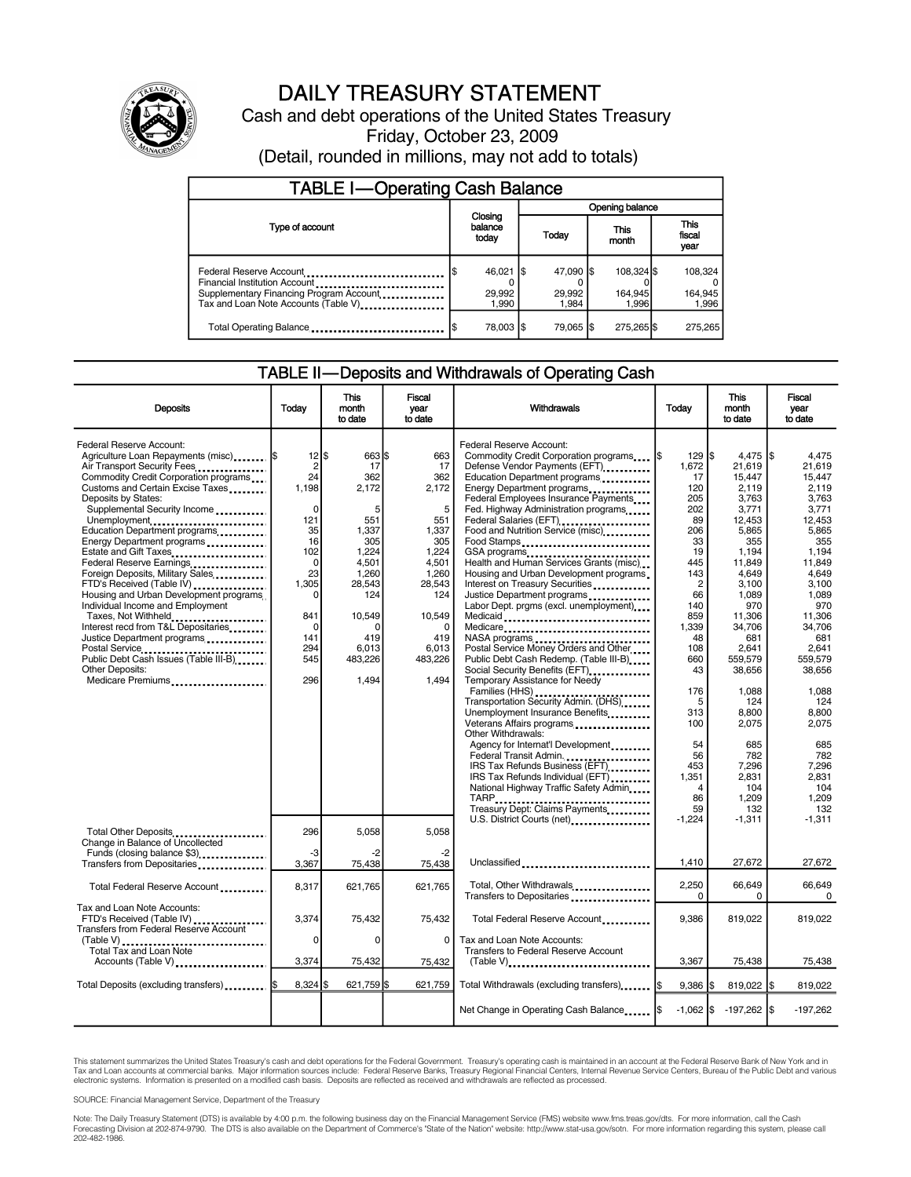

# DAILY TREASURY STATEMENT

Cash and debt operations of the United States Treasury Friday, October 23, 2009 (Detail, rounded in millions, may not add to totals)

| <b>TABLE I-Operating Cash Balance</b>                                                                                                       |     |                                |                 |                              |  |                                |  |                               |
|---------------------------------------------------------------------------------------------------------------------------------------------|-----|--------------------------------|-----------------|------------------------------|--|--------------------------------|--|-------------------------------|
|                                                                                                                                             |     |                                | Opening balance |                              |  |                                |  |                               |
| Type of account                                                                                                                             |     | Closing<br>balance<br>today    |                 | Today                        |  | This<br>month                  |  | <b>This</b><br>fiscal<br>year |
| Federal Reserve Account<br>Financial Institution Account<br>Supplementary Financing Program Account<br>Tax and Loan Note Accounts (Table V) |     | $46,021$ \$<br>29,992<br>1.990 |                 | 47,090 \$<br>29,992<br>1.984 |  | 108,324 \$<br>164.945<br>1.996 |  | 108,324<br>164,945<br>1,996   |
| Total Operating Balance                                                                                                                     | l\$ | 78.003 S                       |                 | 79.065 \$                    |  | 275.265 \$                     |  | 275.265                       |

## TABLE II—Deposits and Withdrawals of Operating Cash

| <b>Deposits</b>                                                                                                                                                                                                                                                                                                                                                                                                                                                                                                                                                                                                                                                                                            | Todav                                                                                                                                                          | This<br>month<br>to date                                                                                                                                       | <b>Fiscal</b><br>year<br>to date                                                                                                                            | Withdrawals                                                                                                                                                                                                                                                                                                                                                                                                                                                                                                                                                                                                                                                                                                                                                                                                     | Today                                                                                                                                                                     | <b>This</b><br>month<br>to date                                                                                                                                                                              | Fiscal<br>vear<br>to date                                                                                                                                                                                           |
|------------------------------------------------------------------------------------------------------------------------------------------------------------------------------------------------------------------------------------------------------------------------------------------------------------------------------------------------------------------------------------------------------------------------------------------------------------------------------------------------------------------------------------------------------------------------------------------------------------------------------------------------------------------------------------------------------------|----------------------------------------------------------------------------------------------------------------------------------------------------------------|----------------------------------------------------------------------------------------------------------------------------------------------------------------|-------------------------------------------------------------------------------------------------------------------------------------------------------------|-----------------------------------------------------------------------------------------------------------------------------------------------------------------------------------------------------------------------------------------------------------------------------------------------------------------------------------------------------------------------------------------------------------------------------------------------------------------------------------------------------------------------------------------------------------------------------------------------------------------------------------------------------------------------------------------------------------------------------------------------------------------------------------------------------------------|---------------------------------------------------------------------------------------------------------------------------------------------------------------------------|--------------------------------------------------------------------------------------------------------------------------------------------------------------------------------------------------------------|---------------------------------------------------------------------------------------------------------------------------------------------------------------------------------------------------------------------|
| Federal Reserve Account:<br>Agriculture Loan Repayments (misc)  \$<br>Air Transport Security Fees<br>Commodity Credit Corporation programs<br>Customs and Certain Excise Taxes<br>Deposits by States:<br>Supplemental Security Income<br>Unemployment<br>Education Department programs<br>Energy Department programs<br>Estate and Gift Taxes<br>Federal Reserve Earnings<br>Foreign Deposits, Military Sales<br>FTD's Received (Table IV)<br>Housing and Urban Development programs<br>Individual Income and Employment<br>Taxes, Not Withheld<br>Interest recd from T&L Depositaries<br>Justice Department programs<br><br>Public Debt Cash Issues (Table III-B)<br>Other Deposits:<br>Medicare Premiums | $12$  \$<br>2<br>24<br>1,198<br>$\mathbf 0$<br>121<br>35<br>16<br>102<br>$\mathbf 0$<br>23<br>1,305<br>$\Omega$<br>841<br>$\Omega$<br>141<br>294<br>545<br>296 | 663 \$<br>17<br>362<br>2,172<br>5<br>551<br>1,337<br>305<br>1,224<br>4,501<br>1,260<br>28,543<br>124<br>10,549<br>$\Omega$<br>419<br>6.013<br>483,226<br>1,494 | 663<br>17<br>362<br>2,172<br>5<br>551<br>1,337<br>305<br>1,224<br>4.501<br>1,260<br>28,543<br>124<br>10,549<br>$\Omega$<br>419<br>6.013<br>483,226<br>1.494 | Federal Reserve Account:<br>Commodity Credit Corporation programs<br>Defense Vendor Payments (EFT)<br>Education Department programs<br><br>Energy Department programs<br>Federal Employees Insurance Payments<br>Fed. Highway Administration programs<br>Federal Salaries (EFT)<br>Food and Nutrition Service (misc)<br>Food Stamps<br>GSA programs<br>Health and Human Services Grants (misc)<br>Housing and Urban Development programs.<br>Interest on Treasury Securities<br>Justice Department programs<br>Labor Dept. prgms (excl. unemployment)<br>Medicaid<br>Medicare<br>NASA programs<br>Postal Service Money Orders and Other<br>Public Debt Cash Redemp. (Table III-B)<br>Social Security Benefits (EFT)<br>Temporary Assistance for Needy<br>Families (HHS)<br>Transportation Security Admin. (DHS) | $129$ $s$<br>1,672<br>17<br>120<br>205<br>202<br>89<br>206<br>33<br>19<br>445<br>143<br>$\overline{c}$<br>66<br>140<br>859<br>1,339<br>48<br>108<br>660<br>43<br>176<br>5 | 4.475<br>21,619<br>15.447<br>2,119<br>3,763<br>3,771<br>12.453<br>5,865<br>355<br>1,194<br>11.849<br>4,649<br>3,100<br>1.089<br>970<br>11,306<br>34,706<br>681<br>2.641<br>559,579<br>38,656<br>1.088<br>124 | l\$<br>4.475<br>21.619<br>15.447<br>2.119<br>3,763<br>3,771<br>12.453<br>5,865<br>355<br>1.194<br>11.849<br>4,649<br>3,100<br>1.089<br>970<br>11,306<br>34,706<br>681<br>2.641<br>559,579<br>38,656<br>1.088<br>124 |
|                                                                                                                                                                                                                                                                                                                                                                                                                                                                                                                                                                                                                                                                                                            |                                                                                                                                                                |                                                                                                                                                                |                                                                                                                                                             | Unemployment Insurance Benefits<br>Veterans Affairs programs<br><br>Other Withdrawals:<br>Agency for Internat'l Development<br>Federal Transit Admin<br>IRS Tax Refunds Business (EFT)<br>IRS Tax Refunds Individual (EFT)<br>National Highway Traffic Safety Admin<br>TARP<br>Treasury Dept: Claims Payments                                                                                                                                                                                                                                                                                                                                                                                                                                                                                                   | 313<br>100<br>54<br>56<br>453<br>1.351<br>4<br>86<br>59<br>$-1.224$                                                                                                       | 8,800<br>2,075<br>685<br>782<br>7,296<br>2,831<br>104<br>1,209<br>132<br>$-1,311$                                                                                                                            | 8,800<br>2,075<br>685<br>782<br>7,296<br>2.831<br>104<br>1,209<br>132<br>$-1.311$                                                                                                                                   |
| Total Other Deposits<br>Change in Balance of Uncollected<br>Funds (closing balance \$3)<br>Transfers from Depositaries                                                                                                                                                                                                                                                                                                                                                                                                                                                                                                                                                                                     | 296<br>-3<br>3,367                                                                                                                                             | 5,058<br>-2<br>75,438                                                                                                                                          | 5,058<br>-2<br>75,438                                                                                                                                       | U.S. District Courts (net)<br>Unclassified                                                                                                                                                                                                                                                                                                                                                                                                                                                                                                                                                                                                                                                                                                                                                                      | 1,410                                                                                                                                                                     | 27,672                                                                                                                                                                                                       | 27,672                                                                                                                                                                                                              |
| Total Federal Reserve Account                                                                                                                                                                                                                                                                                                                                                                                                                                                                                                                                                                                                                                                                              | 8,317                                                                                                                                                          | 621,765                                                                                                                                                        | 621,765                                                                                                                                                     | Total, Other Withdrawals<br>Transfers to Depositaries                                                                                                                                                                                                                                                                                                                                                                                                                                                                                                                                                                                                                                                                                                                                                           | 2,250<br>$\Omega$                                                                                                                                                         | 66,649<br>0                                                                                                                                                                                                  | 66.649<br>0                                                                                                                                                                                                         |
| Tax and Loan Note Accounts:<br>FTD's Received (Table IV)<br><b>Transfers from Federal Reserve Account</b>                                                                                                                                                                                                                                                                                                                                                                                                                                                                                                                                                                                                  | 3,374<br>0                                                                                                                                                     | 75,432<br>0                                                                                                                                                    | 75,432<br>0                                                                                                                                                 | Total Federal Reserve Account<br>Tax and Loan Note Accounts:                                                                                                                                                                                                                                                                                                                                                                                                                                                                                                                                                                                                                                                                                                                                                    | 9,386                                                                                                                                                                     | 819,022                                                                                                                                                                                                      | 819,022                                                                                                                                                                                                             |
| Total Tax and Loan Note<br>Accounts (Table V)                                                                                                                                                                                                                                                                                                                                                                                                                                                                                                                                                                                                                                                              | 3,374                                                                                                                                                          | 75,432                                                                                                                                                         | 75,432                                                                                                                                                      | Transfers to Federal Reserve Account<br>$(Table V)$                                                                                                                                                                                                                                                                                                                                                                                                                                                                                                                                                                                                                                                                                                                                                             | 3,367                                                                                                                                                                     | 75,438                                                                                                                                                                                                       | 75,438                                                                                                                                                                                                              |
| Total Deposits (excluding transfers)  [\$                                                                                                                                                                                                                                                                                                                                                                                                                                                                                                                                                                                                                                                                  | $8,324$ \$                                                                                                                                                     | 621,759 \$                                                                                                                                                     | 621,759                                                                                                                                                     | Total Withdrawals (excluding transfers)  \$                                                                                                                                                                                                                                                                                                                                                                                                                                                                                                                                                                                                                                                                                                                                                                     | $9,386$ \$                                                                                                                                                                | 819,022 \$                                                                                                                                                                                                   | 819,022                                                                                                                                                                                                             |
|                                                                                                                                                                                                                                                                                                                                                                                                                                                                                                                                                                                                                                                                                                            |                                                                                                                                                                |                                                                                                                                                                |                                                                                                                                                             | Net Change in Operating Cash Balance   \$                                                                                                                                                                                                                                                                                                                                                                                                                                                                                                                                                                                                                                                                                                                                                                       | $-1.062$ IS                                                                                                                                                               | $-197,262$ \$                                                                                                                                                                                                | $-197,262$                                                                                                                                                                                                          |

This statement summarizes the United States Treasury's cash and debt operations for the Federal Government. Treasury's operating cash is maintained in an account at the Federal Reserve Bank of New York and in<br>Tax and Loan

SOURCE: Financial Management Service, Department of the Treasury

Note: The Daily Treasury Statement (DTS) is available by 4:00 p.m. the following business day on the Financial Management Service (FMS) website www.fms.treas.gov/dts. For more information, call the Cash<br>Forecasting Divisio